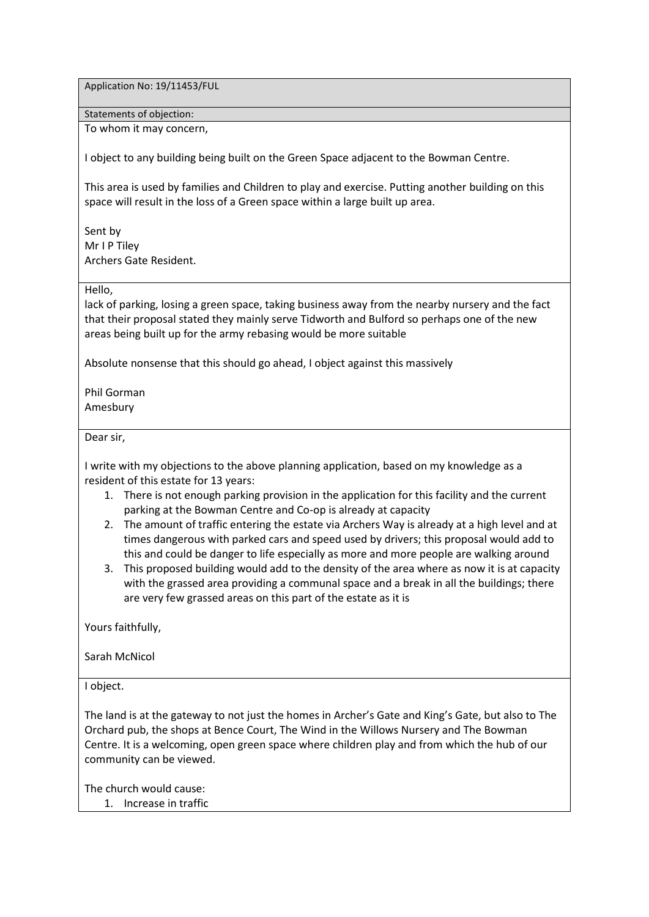Application No: 19/11453/FUL

Statements of objection:

To whom it may concern,

I object to any building being built on the Green Space adjacent to the Bowman Centre.

This area is used by families and Children to play and exercise. Putting another building on this space will result in the loss of a Green space within a large built up area.

Sent by Mr I P Tiley Archers Gate Resident.

Hello,

lack of parking, losing a green space, taking business away from the nearby nursery and the fact that their proposal stated they mainly serve Tidworth and Bulford so perhaps one of the new areas being built up for the army rebasing would be more suitable

Absolute nonsense that this should go ahead, I object against this massively

Phil Gorman Amesbury

Dear sir,

I write with my objections to the above planning application, based on my knowledge as a resident of this estate for 13 years:

- 1. There is not enough parking provision in the application for this facility and the current parking at the Bowman Centre and Co-op is already at capacity
- 2. The amount of traffic entering the estate via Archers Way is already at a high level and at times dangerous with parked cars and speed used by drivers; this proposal would add to this and could be danger to life especially as more and more people are walking around
- 3. This proposed building would add to the density of the area where as now it is at capacity with the grassed area providing a communal space and a break in all the buildings; there are very few grassed areas on this part of the estate as it is

Yours faithfully,

Sarah McNicol

I object.

The land is at the gateway to not just the homes in Archer's Gate and King's Gate, but also to The Orchard pub, the shops at Bence Court, The Wind in the Willows Nursery and The Bowman Centre. It is a welcoming, open green space where children play and from which the hub of our community can be viewed.

The church would cause:

1. Increase in traffic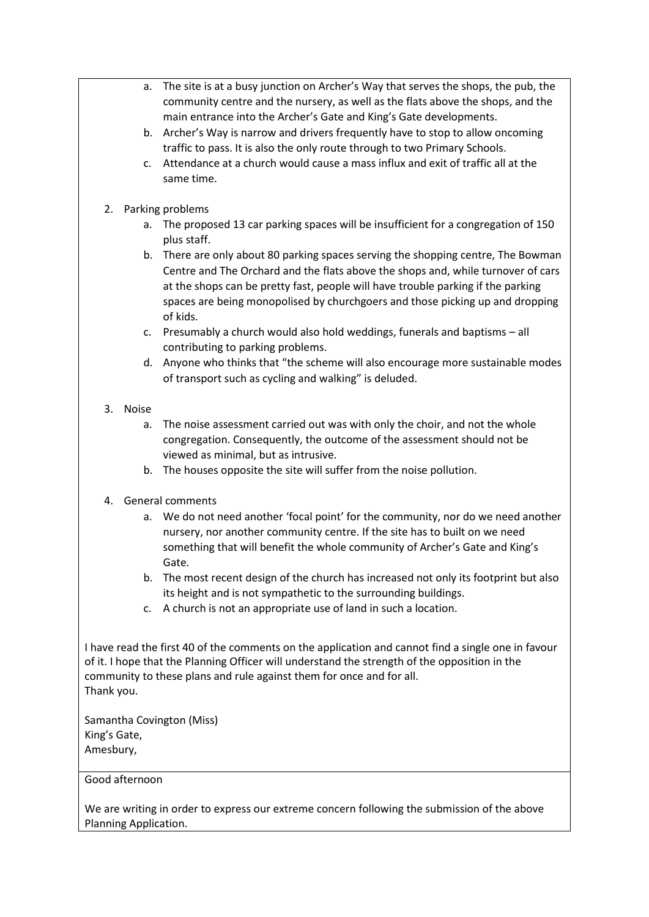- a. The site is at a busy junction on Archer's Way that serves the shops, the pub, the community centre and the nursery, as well as the flats above the shops, and the main entrance into the Archer's Gate and King's Gate developments.
- b. Archer's Way is narrow and drivers frequently have to stop to allow oncoming traffic to pass. It is also the only route through to two Primary Schools.
- c. Attendance at a church would cause a mass influx and exit of traffic all at the same time.

### 2. Parking problems

- a. The proposed 13 car parking spaces will be insufficient for a congregation of 150 plus staff.
- b. There are only about 80 parking spaces serving the shopping centre, The Bowman Centre and The Orchard and the flats above the shops and, while turnover of cars at the shops can be pretty fast, people will have trouble parking if the parking spaces are being monopolised by churchgoers and those picking up and dropping of kids.
- c. Presumably a church would also hold weddings, funerals and baptisms all contributing to parking problems.
- d. Anyone who thinks that "the scheme will also encourage more sustainable modes of transport such as cycling and walking" is deluded.

### 3. Noise

- a. The noise assessment carried out was with only the choir, and not the whole congregation. Consequently, the outcome of the assessment should not be viewed as minimal, but as intrusive.
- b. The houses opposite the site will suffer from the noise pollution.

### 4. General comments

- a. We do not need another 'focal point' for the community, nor do we need another nursery, nor another community centre. If the site has to built on we need something that will benefit the whole community of Archer's Gate and King's Gate.
- b. The most recent design of the church has increased not only its footprint but also its height and is not sympathetic to the surrounding buildings.
- c. A church is not an appropriate use of land in such a location.

I have read the first 40 of the comments on the application and cannot find a single one in favour of it. I hope that the Planning Officer will understand the strength of the opposition in the community to these plans and rule against them for once and for all. Thank you.

Samantha Covington (Miss) King's Gate, Amesbury,

### Good afternoon

We are writing in order to express our extreme concern following the submission of the above Planning Application.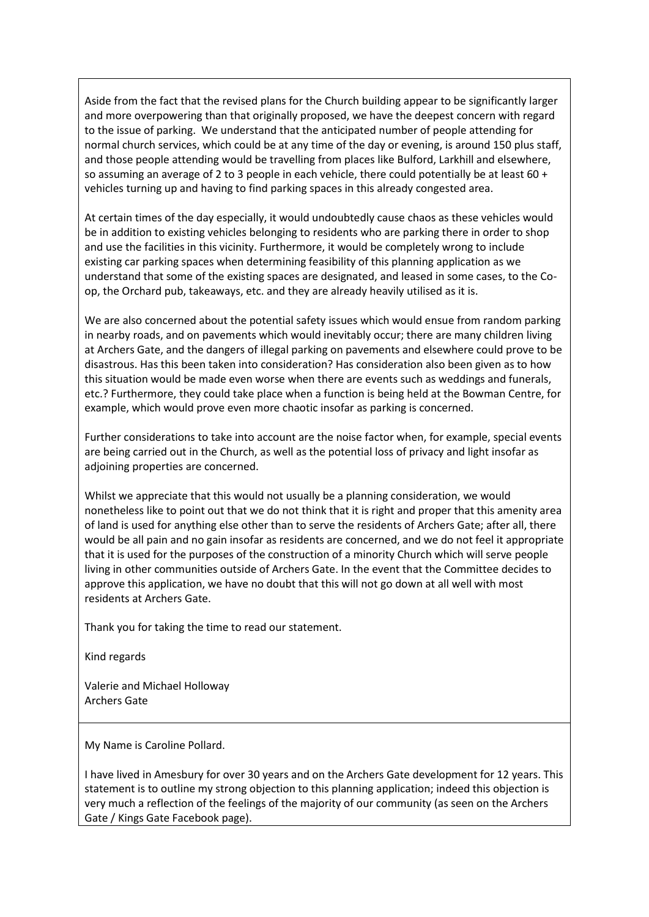Aside from the fact that the revised plans for the Church building appear to be significantly larger and more overpowering than that originally proposed, we have the deepest concern with regard to the issue of parking. We understand that the anticipated number of people attending for normal church services, which could be at any time of the day or evening, is around 150 plus staff, and those people attending would be travelling from places like Bulford, Larkhill and elsewhere, so assuming an average of 2 to 3 people in each vehicle, there could potentially be at least 60 + vehicles turning up and having to find parking spaces in this already congested area.

At certain times of the day especially, it would undoubtedly cause chaos as these vehicles would be in addition to existing vehicles belonging to residents who are parking there in order to shop and use the facilities in this vicinity. Furthermore, it would be completely wrong to include existing car parking spaces when determining feasibility of this planning application as we understand that some of the existing spaces are designated, and leased in some cases, to the Coop, the Orchard pub, takeaways, etc. and they are already heavily utilised as it is.

We are also concerned about the potential safety issues which would ensue from random parking in nearby roads, and on pavements which would inevitably occur; there are many children living at Archers Gate, and the dangers of illegal parking on pavements and elsewhere could prove to be disastrous. Has this been taken into consideration? Has consideration also been given as to how this situation would be made even worse when there are events such as weddings and funerals, etc.? Furthermore, they could take place when a function is being held at the Bowman Centre, for example, which would prove even more chaotic insofar as parking is concerned.

Further considerations to take into account are the noise factor when, for example, special events are being carried out in the Church, as well as the potential loss of privacy and light insofar as adjoining properties are concerned.

Whilst we appreciate that this would not usually be a planning consideration, we would nonetheless like to point out that we do not think that it is right and proper that this amenity area of land is used for anything else other than to serve the residents of Archers Gate; after all, there would be all pain and no gain insofar as residents are concerned, and we do not feel it appropriate that it is used for the purposes of the construction of a minority Church which will serve people living in other communities outside of Archers Gate. In the event that the Committee decides to approve this application, we have no doubt that this will not go down at all well with most residents at Archers Gate.

Thank you for taking the time to read our statement.

Kind regards

Valerie and Michael Holloway Archers Gate

My Name is Caroline Pollard.

I have lived in Amesbury for over 30 years and on the Archers Gate development for 12 years. This statement is to outline my strong objection to this planning application; indeed this objection is very much a reflection of the feelings of the majority of our community (as seen on the Archers Gate / Kings Gate Facebook page).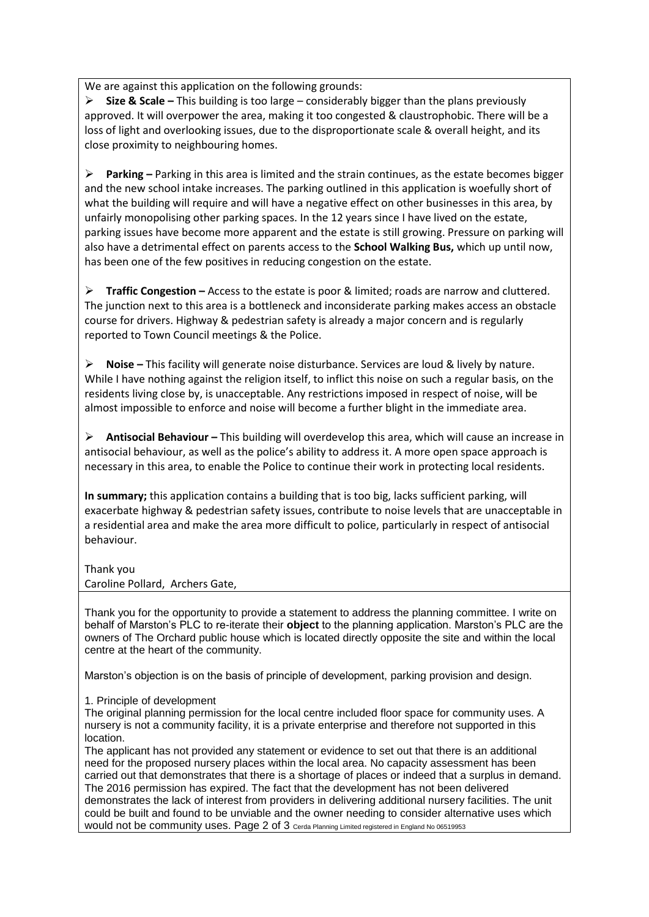We are against this application on the following grounds:

**Size & Scale –** This building is too large – considerably bigger than the plans previously approved. It will overpower the area, making it too congested & claustrophobic. There will be a loss of light and overlooking issues, due to the disproportionate scale & overall height, and its close proximity to neighbouring homes.

**Parking –** Parking in this area is limited and the strain continues, as the estate becomes bigger and the new school intake increases. The parking outlined in this application is woefully short of what the building will require and will have a negative effect on other businesses in this area, by unfairly monopolising other parking spaces. In the 12 years since I have lived on the estate, parking issues have become more apparent and the estate is still growing. Pressure on parking will also have a detrimental effect on parents access to the **School Walking Bus,** which up until now, has been one of the few positives in reducing congestion on the estate.

**Traffic Congestion –** Access to the estate is poor & limited; roads are narrow and cluttered. The junction next to this area is a bottleneck and inconsiderate parking makes access an obstacle course for drivers. Highway & pedestrian safety is already a major concern and is regularly reported to Town Council meetings & the Police.

**Noise –** This facility will generate noise disturbance. Services are loud & lively by nature. While I have nothing against the religion itself, to inflict this noise on such a regular basis, on the residents living close by, is unacceptable. Any restrictions imposed in respect of noise, will be almost impossible to enforce and noise will become a further blight in the immediate area.

**Antisocial Behaviour –** This building will overdevelop this area, which will cause an increase in antisocial behaviour, as well as the police's ability to address it. A more open space approach is necessary in this area, to enable the Police to continue their work in protecting local residents.

**In summary;** this application contains a building that is too big, lacks sufficient parking, will exacerbate highway & pedestrian safety issues, contribute to noise levels that are unacceptable in a residential area and make the area more difficult to police, particularly in respect of antisocial behaviour.

### Thank you

Caroline Pollard, Archers Gate,

Thank you for the opportunity to provide a statement to address the planning committee. I write on behalf of Marston's PLC to re-iterate their **object** to the planning application. Marston's PLC are the owners of The Orchard public house which is located directly opposite the site and within the local centre at the heart of the community.

Marston's objection is on the basis of principle of development, parking provision and design.

1. Principle of development

The original planning permission for the local centre included floor space for community uses. A nursery is not a community facility, it is a private enterprise and therefore not supported in this location.

The applicant has not provided any statement or evidence to set out that there is an additional need for the proposed nursery places within the local area. No capacity assessment has been carried out that demonstrates that there is a shortage of places or indeed that a surplus in demand. The 2016 permission has expired. The fact that the development has not been delivered demonstrates the lack of interest from providers in delivering additional nursery facilities. The unit could be built and found to be unviable and the owner needing to consider alternative uses which would not be community uses. Page 2 of 3 Cerda Planning Limited registered in England No 06519953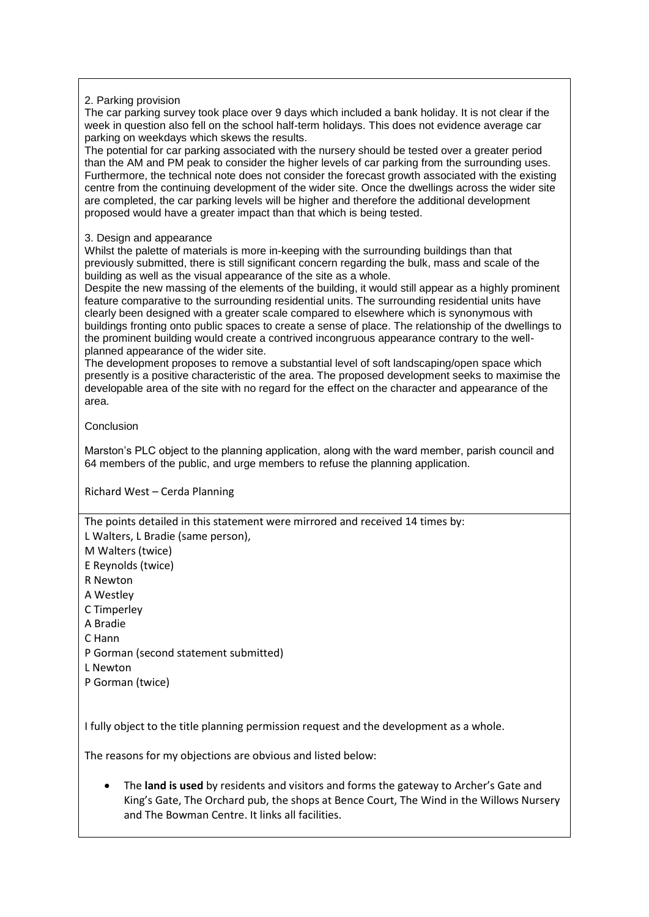### 2. Parking provision

The car parking survey took place over 9 days which included a bank holiday. It is not clear if the week in question also fell on the school half-term holidays. This does not evidence average car parking on weekdays which skews the results.

The potential for car parking associated with the nursery should be tested over a greater period than the AM and PM peak to consider the higher levels of car parking from the surrounding uses. Furthermore, the technical note does not consider the forecast growth associated with the existing centre from the continuing development of the wider site. Once the dwellings across the wider site are completed, the car parking levels will be higher and therefore the additional development proposed would have a greater impact than that which is being tested.

### 3. Design and appearance

Whilst the palette of materials is more in-keeping with the surrounding buildings than that previously submitted, there is still significant concern regarding the bulk, mass and scale of the building as well as the visual appearance of the site as a whole.

Despite the new massing of the elements of the building, it would still appear as a highly prominent feature comparative to the surrounding residential units. The surrounding residential units have clearly been designed with a greater scale compared to elsewhere which is synonymous with buildings fronting onto public spaces to create a sense of place. The relationship of the dwellings to the prominent building would create a contrived incongruous appearance contrary to the wellplanned appearance of the wider site.

The development proposes to remove a substantial level of soft landscaping/open space which presently is a positive characteristic of the area. The proposed development seeks to maximise the developable area of the site with no regard for the effect on the character and appearance of the area.

Conclusion

Marston's PLC object to the planning application, along with the ward member, parish council and 64 members of the public, and urge members to refuse the planning application.

Richard West – Cerda Planning

The points detailed in this statement were mirrored and received 14 times by: L Walters, L Bradie (same person),

M Walters (twice)

E Reynolds (twice)

R Newton

A Westley

C Timperley

A Bradie

C Hann

P Gorman (second statement submitted)

L Newton

P Gorman (twice)

I fully object to the title planning permission request and the development as a whole.

The reasons for my objections are obvious and listed below:

 The **land is used** by residents and visitors and forms the gateway to Archer's Gate and King's Gate, The Orchard pub, the shops at Bence Court, The Wind in the Willows Nursery and The Bowman Centre. It links all facilities.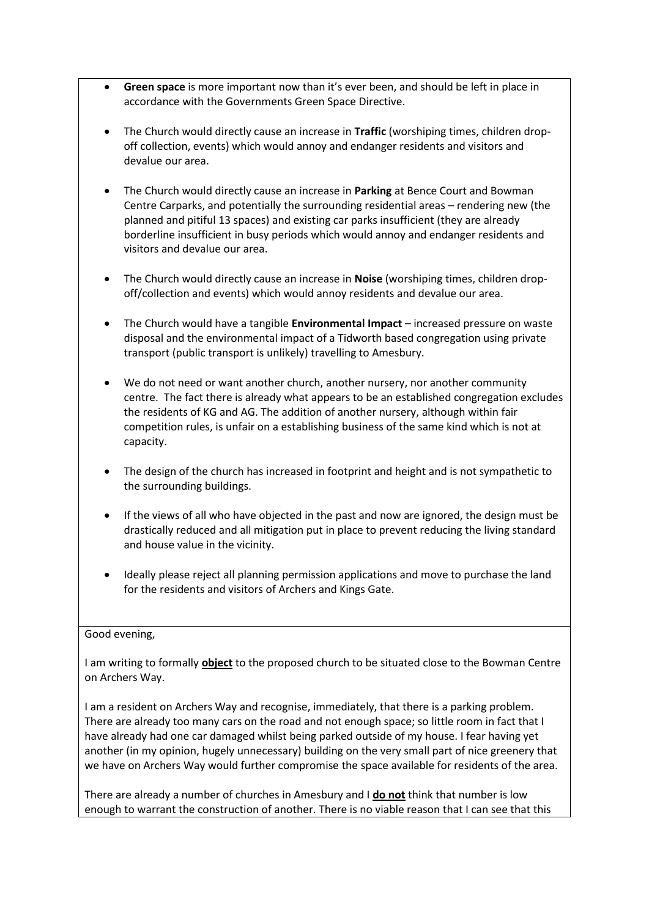- **Green space** is more important now than it's ever been, and should be left in place in accordance with the Governments Green Space Directive.
- The Church would directly cause an increase in **Traffic** (worshiping times, children dropoff collection, events) which would annoy and endanger residents and visitors and devalue our area.
- The Church would directly cause an increase in **Parking** at Bence Court and Bowman Centre Carparks, and potentially the surrounding residential areas – rendering new (the planned and pitiful 13 spaces) and existing car parks insufficient (they are already borderline insufficient in busy periods which would annoy and endanger residents and visitors and devalue our area.
- The Church would directly cause an increase in **Noise** (worshiping times, children dropoff/collection and events) which would annoy residents and devalue our area.
- The Church would have a tangible **Environmental Impact** increased pressure on waste disposal and the environmental impact of a Tidworth based congregation using private transport (public transport is unlikely) travelling to Amesbury.
- We do not need or want another church, another nursery, nor another community centre. The fact there is already what appears to be an established congregation excludes the residents of KG and AG. The addition of another nursery, although within fair competition rules, is unfair on a establishing business of the same kind which is not at capacity.
- The design of the church has increased in footprint and height and is not sympathetic to the surrounding buildings.
- If the views of all who have objected in the past and now are ignored, the design must be drastically reduced and all mitigation put in place to prevent reducing the living standard and house value in the vicinity.
- Ideally please reject all planning permission applications and move to purchase the land for the residents and visitors of Archers and Kings Gate.

### Good evening,

I am writing to formally **object** to the proposed church to be situated close to the Bowman Centre on Archers Way.

I am a resident on Archers Way and recognise, immediately, that there is a parking problem. There are already too many cars on the road and not enough space; so little room in fact that I have already had one car damaged whilst being parked outside of my house. I fear having yet another (in my opinion, hugely unnecessary) building on the very small part of nice greenery that we have on Archers Way would further compromise the space available for residents of the area.

There are already a number of churches in Amesbury and I **do not** think that number is low enough to warrant the construction of another. There is no viable reason that I can see that this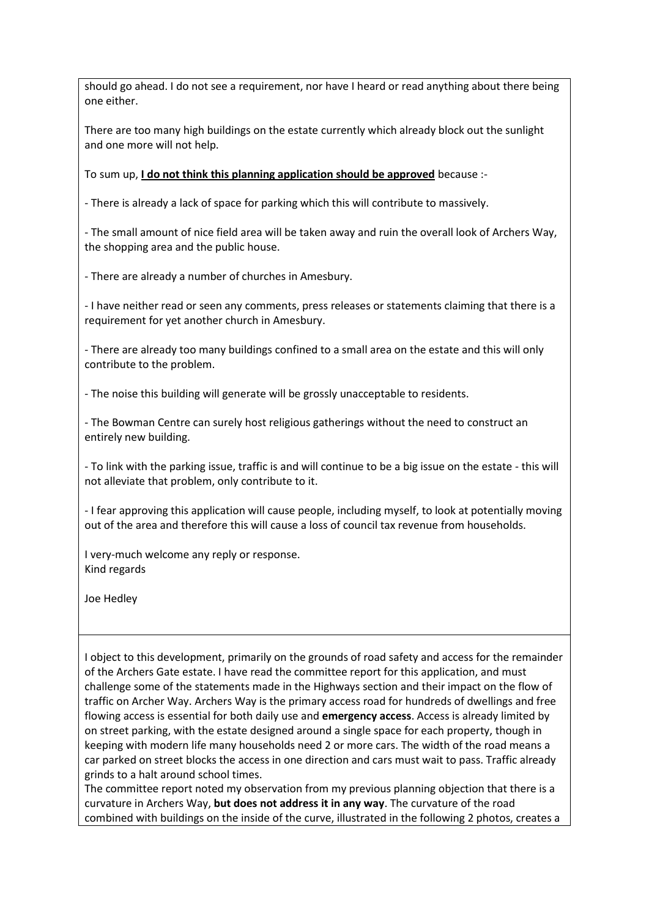should go ahead. I do not see a requirement, nor have I heard or read anything about there being one either.

There are too many high buildings on the estate currently which already block out the sunlight and one more will not help.

To sum up, **I do not think this planning application should be approved** because :-

- There is already a lack of space for parking which this will contribute to massively.

- The small amount of nice field area will be taken away and ruin the overall look of Archers Way, the shopping area and the public house.

- There are already a number of churches in Amesbury.

- I have neither read or seen any comments, press releases or statements claiming that there is a requirement for yet another church in Amesbury.

- There are already too many buildings confined to a small area on the estate and this will only contribute to the problem.

- The noise this building will generate will be grossly unacceptable to residents.

- The Bowman Centre can surely host religious gatherings without the need to construct an entirely new building.

- To link with the parking issue, traffic is and will continue to be a big issue on the estate - this will not alleviate that problem, only contribute to it.

- I fear approving this application will cause people, including myself, to look at potentially moving out of the area and therefore this will cause a loss of council tax revenue from households.

I very-much welcome any reply or response. Kind regards

Joe Hedley

I object to this development, primarily on the grounds of road safety and access for the remainder of the Archers Gate estate. I have read the committee report for this application, and must challenge some of the statements made in the Highways section and their impact on the flow of traffic on Archer Way. Archers Way is the primary access road for hundreds of dwellings and free flowing access is essential for both daily use and **emergency access**. Access is already limited by on street parking, with the estate designed around a single space for each property, though in keeping with modern life many households need 2 or more cars. The width of the road means a car parked on street blocks the access in one direction and cars must wait to pass. Traffic already grinds to a halt around school times.

The committee report noted my observation from my previous planning objection that there is a curvature in Archers Way, **but does not address it in any way**. The curvature of the road combined with buildings on the inside of the curve, illustrated in the following 2 photos, creates a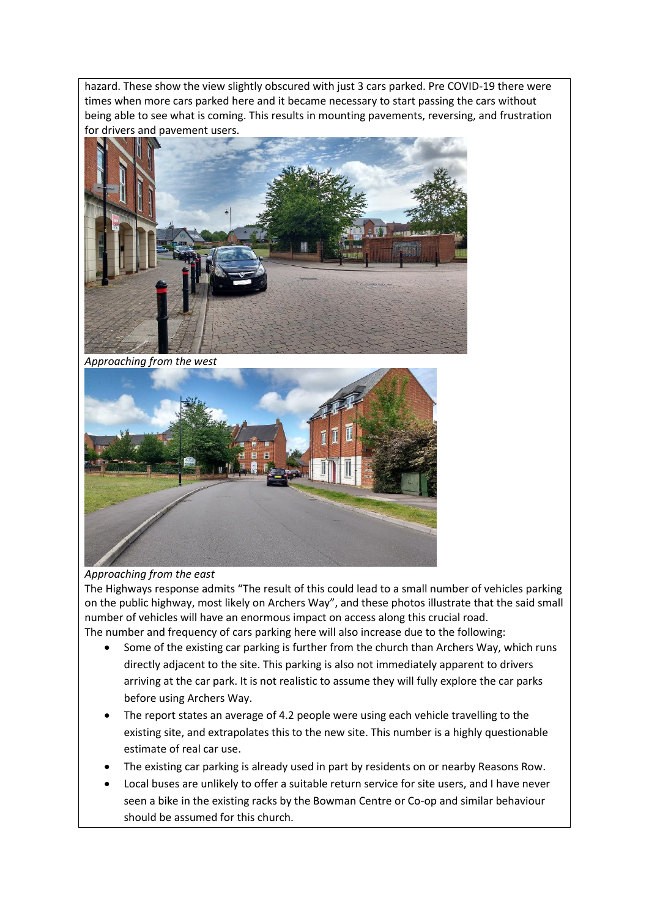hazard. These show the view slightly obscured with just 3 cars parked. Pre COVID-19 there were times when more cars parked here and it became necessary to start passing the cars without being able to see what is coming. This results in mounting pavements, reversing, and frustration for drivers and pavement users.



*Approaching from the west* 



### *Approaching from the east*

The Highways response admits "The result of this could lead to a small number of vehicles parking on the public highway, most likely on Archers Way", and these photos illustrate that the said small number of vehicles will have an enormous impact on access along this crucial road. The number and frequency of cars parking here will also increase due to the following:

- Some of the existing car parking is further from the church than Archers Way, which runs directly adjacent to the site. This parking is also not immediately apparent to drivers arriving at the car park. It is not realistic to assume they will fully explore the car parks before using Archers Way.
- The report states an average of 4.2 people were using each vehicle travelling to the existing site, and extrapolates this to the new site. This number is a highly questionable estimate of real car use.
- The existing car parking is already used in part by residents on or nearby Reasons Row.
- Local buses are unlikely to offer a suitable return service for site users, and I have never seen a bike in the existing racks by the Bowman Centre or Co-op and similar behaviour should be assumed for this church.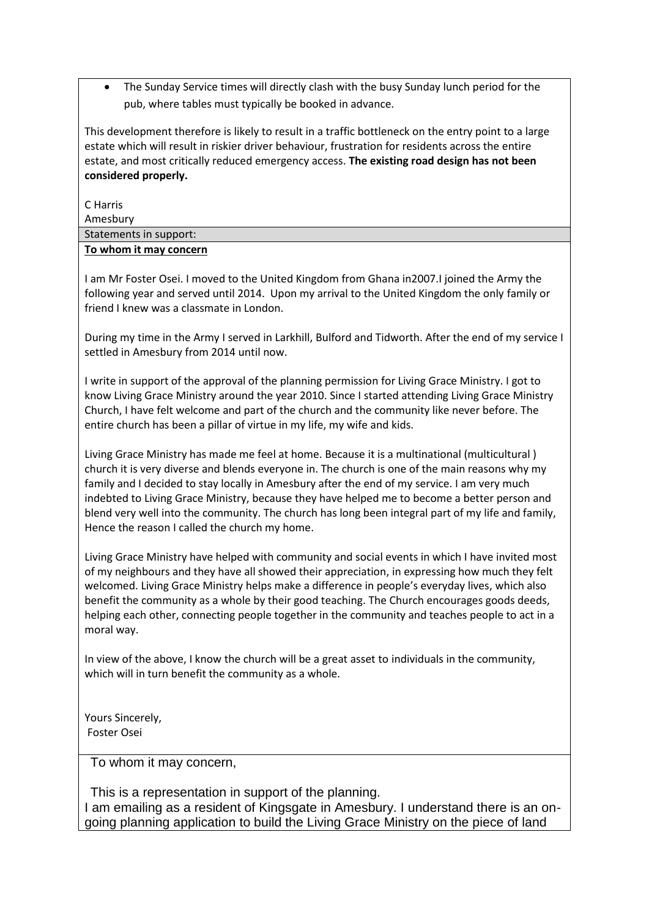The Sunday Service times will directly clash with the busy Sunday lunch period for the pub, where tables must typically be booked in advance.

This development therefore is likely to result in a traffic bottleneck on the entry point to a large estate which will result in riskier driver behaviour, frustration for residents across the entire estate, and most critically reduced emergency access. **The existing road design has not been considered properly.**

C Harris

Amesbury

| . <del>. .</del>       |  |
|------------------------|--|
| Statements in support: |  |
| To whom it may concern |  |

I am Mr Foster Osei. I moved to the United Kingdom from Ghana in2007.I joined the Army the following year and served until 2014. Upon my arrival to the United Kingdom the only family or friend I knew was a classmate in London.

During my time in the Army I served in Larkhill, Bulford and Tidworth. After the end of my service I settled in Amesbury from 2014 until now.

I write in support of the approval of the planning permission for Living Grace Ministry. I got to know Living Grace Ministry around the year 2010. Since I started attending Living Grace Ministry Church, I have felt welcome and part of the church and the community like never before. The entire church has been a pillar of virtue in my life, my wife and kids.

Living Grace Ministry has made me feel at home. Because it is a multinational (multicultural ) church it is very diverse and blends everyone in. The church is one of the main reasons why my family and I decided to stay locally in Amesbury after the end of my service. I am very much indebted to Living Grace Ministry, because they have helped me to become a better person and blend very well into the community. The church has long been integral part of my life and family, Hence the reason I called the church my home.

Living Grace Ministry have helped with community and social events in which I have invited most of my neighbours and they have all showed their appreciation, in expressing how much they felt welcomed. Living Grace Ministry helps make a difference in people's everyday lives, which also benefit the community as a whole by their good teaching. The Church encourages goods deeds, helping each other, connecting people together in the community and teaches people to act in a moral way.

In view of the above, I know the church will be a great asset to individuals in the community, which will in turn benefit the community as a whole.

Yours Sincerely, Foster Osei

To whom it may concern,

This is a representation in support of the planning. I am emailing as a resident of Kingsgate in Amesbury. I understand there is an ongoing planning application to build the Living Grace Ministry on the piece of land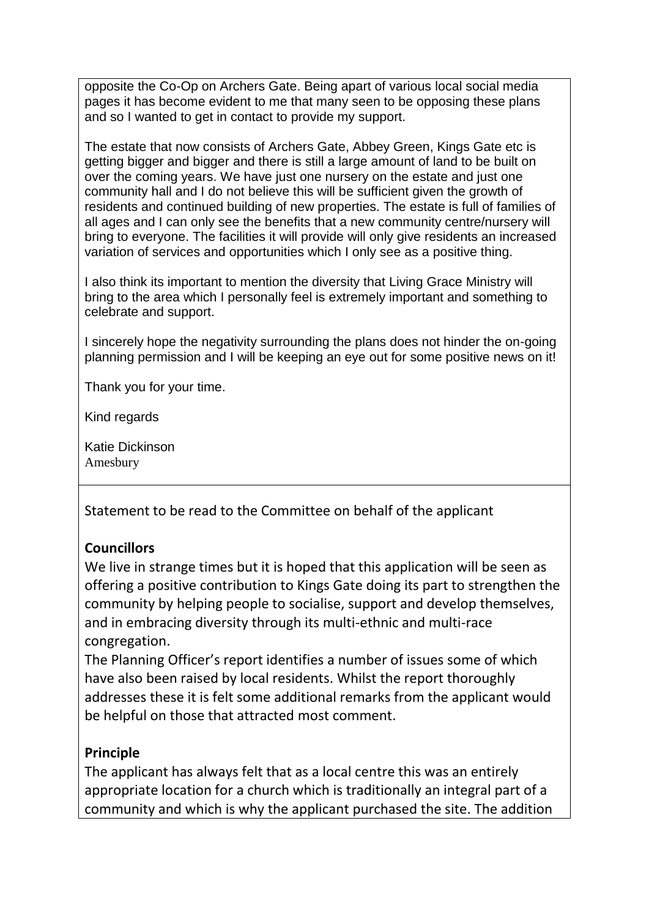opposite the Co-Op on Archers Gate. Being apart of various local social media pages it has become evident to me that many seen to be opposing these plans and so I wanted to get in contact to provide my support.

The estate that now consists of Archers Gate, Abbey Green, Kings Gate etc is getting bigger and bigger and there is still a large amount of land to be built on over the coming years. We have just one nursery on the estate and just one community hall and I do not believe this will be sufficient given the growth of residents and continued building of new properties. The estate is full of families of all ages and I can only see the benefits that a new community centre/nursery will bring to everyone. The facilities it will provide will only give residents an increased variation of services and opportunities which I only see as a positive thing.

I also think its important to mention the diversity that Living Grace Ministry will bring to the area which I personally feel is extremely important and something to celebrate and support.

I sincerely hope the negativity surrounding the plans does not hinder the on-going planning permission and I will be keeping an eye out for some positive news on it!

Thank you for your time.

Kind regards

Katie Dickinson Amesbury

Statement to be read to the Committee on behalf of the applicant

### **Councillors**

We live in strange times but it is hoped that this application will be seen as offering a positive contribution to Kings Gate doing its part to strengthen the community by helping people to socialise, support and develop themselves, and in embracing diversity through its multi-ethnic and multi-race congregation.

The Planning Officer's report identifies a number of issues some of which have also been raised by local residents. Whilst the report thoroughly addresses these it is felt some additional remarks from the applicant would be helpful on those that attracted most comment.

### **Principle**

The applicant has always felt that as a local centre this was an entirely appropriate location for a church which is traditionally an integral part of a community and which is why the applicant purchased the site. The addition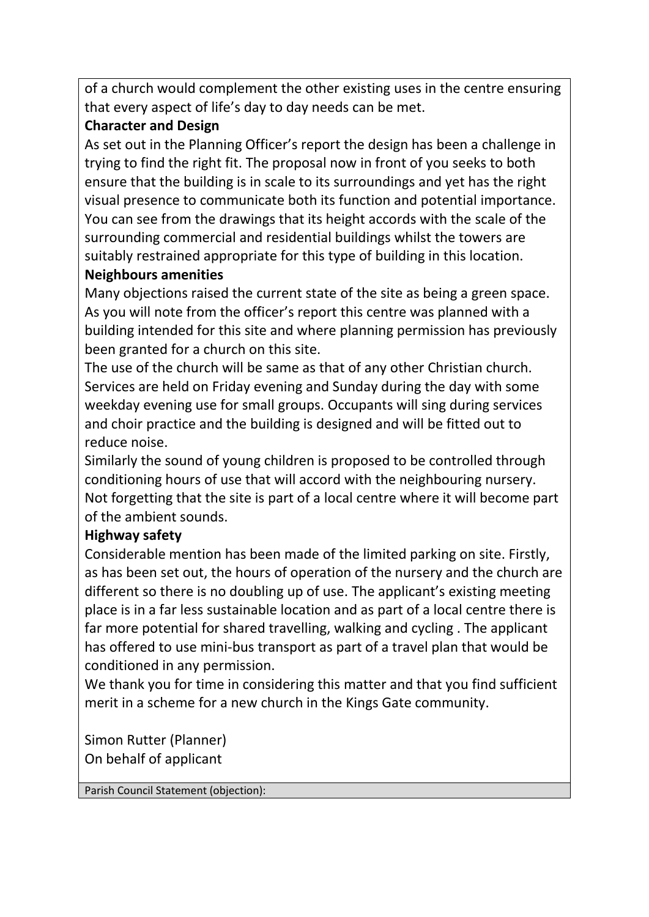of a church would complement the other existing uses in the centre ensuring that every aspect of life's day to day needs can be met.

# **Character and Design**

As set out in the Planning Officer's report the design has been a challenge in trying to find the right fit. The proposal now in front of you seeks to both ensure that the building is in scale to its surroundings and yet has the right visual presence to communicate both its function and potential importance. You can see from the drawings that its height accords with the scale of the surrounding commercial and residential buildings whilst the towers are suitably restrained appropriate for this type of building in this location. **Neighbours amenities** 

Many objections raised the current state of the site as being a green space. As you will note from the officer's report this centre was planned with a building intended for this site and where planning permission has previously been granted for a church on this site.

The use of the church will be same as that of any other Christian church. Services are held on Friday evening and Sunday during the day with some weekday evening use for small groups. Occupants will sing during services and choir practice and the building is designed and will be fitted out to reduce noise.

Similarly the sound of young children is proposed to be controlled through conditioning hours of use that will accord with the neighbouring nursery. Not forgetting that the site is part of a local centre where it will become part of the ambient sounds.

# **Highway safety**

Considerable mention has been made of the limited parking on site. Firstly, as has been set out, the hours of operation of the nursery and the church are different so there is no doubling up of use. The applicant's existing meeting place is in a far less sustainable location and as part of a local centre there is far more potential for shared travelling, walking and cycling . The applicant has offered to use mini-bus transport as part of a travel plan that would be conditioned in any permission.

We thank you for time in considering this matter and that you find sufficient merit in a scheme for a new church in the Kings Gate community.

Simon Rutter (Planner) On behalf of applicant

Parish Council Statement (objection):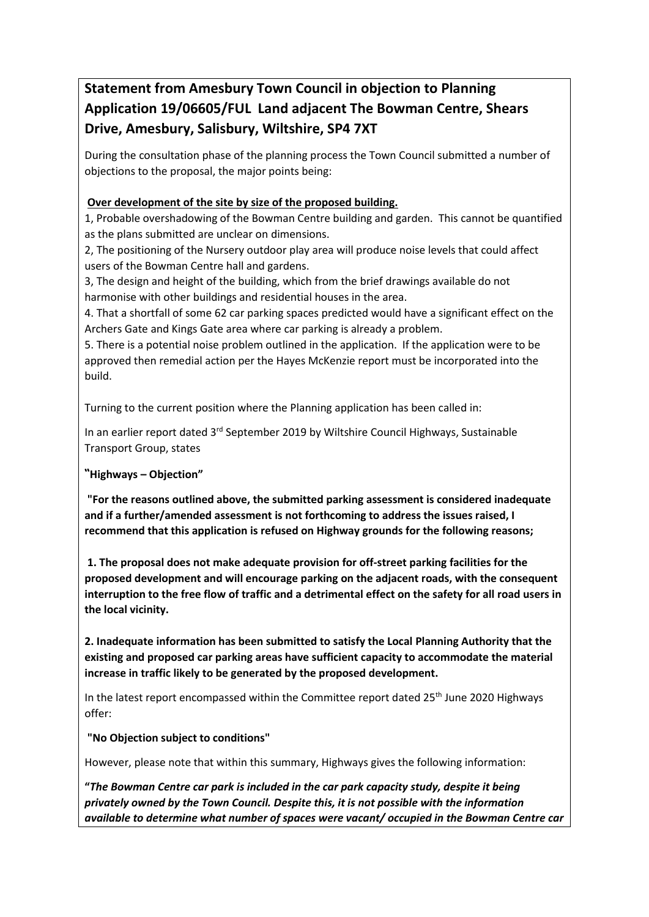# **Statement from Amesbury Town Council in objection to Planning Application 19/06605/FUL Land adjacent The Bowman Centre, Shears Drive, Amesbury, Salisbury, Wiltshire, SP4 7XT**

During the consultation phase of the planning process the Town Council submitted a number of objections to the proposal, the major points being:

### **Over development of the site by size of the proposed building.**

1, Probable overshadowing of the Bowman Centre building and garden. This cannot be quantified as the plans submitted are unclear on dimensions.

2, The positioning of the Nursery outdoor play area will produce noise levels that could affect users of the Bowman Centre hall and gardens.

3, The design and height of the building, which from the brief drawings available do not harmonise with other buildings and residential houses in the area.

4. That a shortfall of some 62 car parking spaces predicted would have a significant effect on the Archers Gate and Kings Gate area where car parking is already a problem.

5. There is a potential noise problem outlined in the application. If the application were to be approved then remedial action per the Hayes McKenzie report must be incorporated into the build.

Turning to the current position where the Planning application has been called in:

In an earlier report dated 3<sup>rd</sup> September 2019 by Wiltshire Council Highways, Sustainable Transport Group, states

**"Highways – Objection"**

**"For the reasons outlined above, the submitted parking assessment is considered inadequate and if a further/amended assessment is not forthcoming to address the issues raised, I recommend that this application is refused on Highway grounds for the following reasons;**

**1. The proposal does not make adequate provision for off-street parking facilities for the proposed development and will encourage parking on the adjacent roads, with the consequent interruption to the free flow of traffic and a detrimental effect on the safety for all road users in the local vicinity.**

**2. Inadequate information has been submitted to satisfy the Local Planning Authority that the existing and proposed car parking areas have sufficient capacity to accommodate the material increase in traffic likely to be generated by the proposed development.**

In the latest report encompassed within the Committee report dated  $25<sup>th</sup>$  June 2020 Highways offer:

**"No Objection subject to conditions"**

However, please note that within this summary, Highways gives the following information:

**"***The Bowman Centre car park is included in the car park capacity study, despite it being privately owned by the Town Council. Despite this, it is not possible with the information available to determine what number of spaces were vacant/ occupied in the Bowman Centre car*